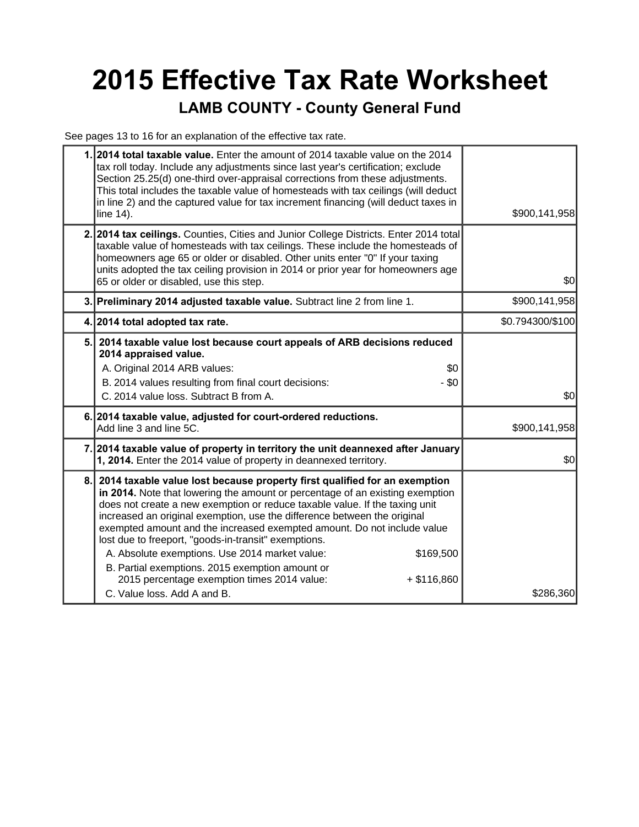# **2015 Effective Tax Rate Worksheet**

#### **LAMB COUNTY - County General Fund**

See pages 13 to 16 for an explanation of the effective tax rate.

| 1.1 | 2014 total taxable value. Enter the amount of 2014 taxable value on the 2014<br>tax roll today. Include any adjustments since last year's certification; exclude<br>Section 25.25(d) one-third over-appraisal corrections from these adjustments.<br>This total includes the taxable value of homesteads with tax ceilings (will deduct<br>in line 2) and the captured value for tax increment financing (will deduct taxes in<br>line 14).                                                                                                                                                                                                                               | \$900,141,958    |  |
|-----|---------------------------------------------------------------------------------------------------------------------------------------------------------------------------------------------------------------------------------------------------------------------------------------------------------------------------------------------------------------------------------------------------------------------------------------------------------------------------------------------------------------------------------------------------------------------------------------------------------------------------------------------------------------------------|------------------|--|
|     | 2. 2014 tax ceilings. Counties, Cities and Junior College Districts. Enter 2014 total<br>taxable value of homesteads with tax ceilings. These include the homesteads of<br>homeowners age 65 or older or disabled. Other units enter "0" If your taxing<br>units adopted the tax ceiling provision in 2014 or prior year for homeowners age<br>65 or older or disabled, use this step.                                                                                                                                                                                                                                                                                    | \$0              |  |
|     | 3. Preliminary 2014 adjusted taxable value. Subtract line 2 from line 1.                                                                                                                                                                                                                                                                                                                                                                                                                                                                                                                                                                                                  | \$900,141,958    |  |
|     | 4. 2014 total adopted tax rate.                                                                                                                                                                                                                                                                                                                                                                                                                                                                                                                                                                                                                                           | \$0.794300/\$100 |  |
| 5.  | 2014 taxable value lost because court appeals of ARB decisions reduced<br>2014 appraised value.<br>A. Original 2014 ARB values:<br>\$0<br>B. 2014 values resulting from final court decisions:<br>- \$0<br>C. 2014 value loss. Subtract B from A.                                                                                                                                                                                                                                                                                                                                                                                                                         | \$0              |  |
|     | 6. 2014 taxable value, adjusted for court-ordered reductions.<br>Add line 3 and line 5C.                                                                                                                                                                                                                                                                                                                                                                                                                                                                                                                                                                                  | \$900,141,958    |  |
|     | 7. 2014 taxable value of property in territory the unit deannexed after January<br>1, 2014. Enter the 2014 value of property in deannexed territory.                                                                                                                                                                                                                                                                                                                                                                                                                                                                                                                      | \$0              |  |
| 8.  | 2014 taxable value lost because property first qualified for an exemption<br>in 2014. Note that lowering the amount or percentage of an existing exemption<br>does not create a new exemption or reduce taxable value. If the taxing unit<br>increased an original exemption, use the difference between the original<br>exempted amount and the increased exempted amount. Do not include value<br>lost due to freeport, "goods-in-transit" exemptions.<br>A. Absolute exemptions. Use 2014 market value:<br>\$169,500<br>B. Partial exemptions. 2015 exemption amount or<br>2015 percentage exemption times 2014 value:<br>$+$ \$116,860<br>C. Value loss, Add A and B. | \$286,360        |  |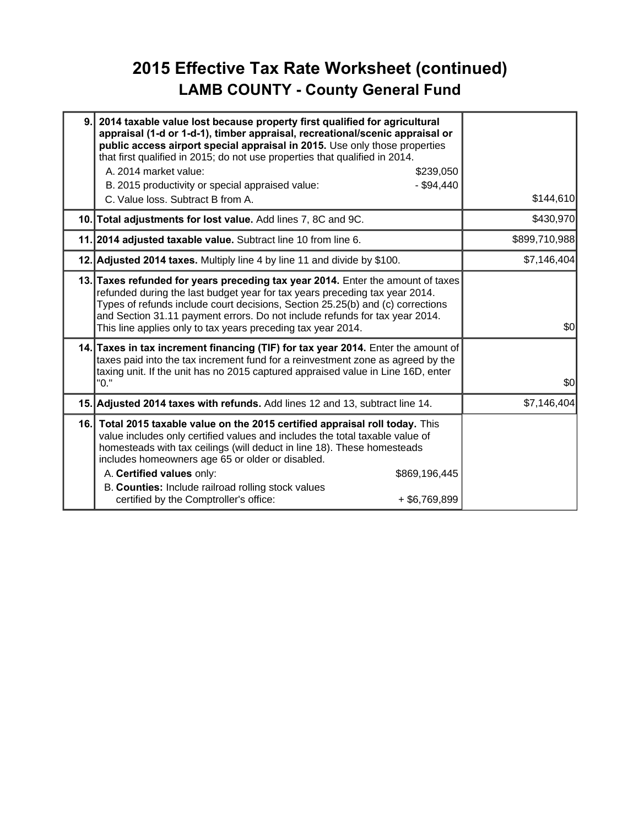## **2015 Effective Tax Rate Worksheet (continued) LAMB COUNTY - County General Fund**

| 9.  | 2014 taxable value lost because property first qualified for agricultural<br>appraisal (1-d or 1-d-1), timber appraisal, recreational/scenic appraisal or<br>public access airport special appraisal in 2015. Use only those properties<br>that first qualified in 2015; do not use properties that qualified in 2014.<br>A. 2014 market value:<br>B. 2015 productivity or special appraised value:<br>C. Value loss. Subtract B from A. | \$239,050<br>$-$ \$94,440        | \$144,610   |
|-----|------------------------------------------------------------------------------------------------------------------------------------------------------------------------------------------------------------------------------------------------------------------------------------------------------------------------------------------------------------------------------------------------------------------------------------------|----------------------------------|-------------|
|     | 10. Total adjustments for lost value. Add lines 7, 8C and 9C.                                                                                                                                                                                                                                                                                                                                                                            |                                  | \$430,970   |
|     | 11. 2014 adjusted taxable value. Subtract line 10 from line 6.                                                                                                                                                                                                                                                                                                                                                                           | \$899,710,988                    |             |
|     | 12. Adjusted 2014 taxes. Multiply line 4 by line 11 and divide by \$100.                                                                                                                                                                                                                                                                                                                                                                 |                                  | \$7,146,404 |
|     | 13. Taxes refunded for years preceding tax year 2014. Enter the amount of taxes<br>refunded during the last budget year for tax years preceding tax year 2014.<br>Types of refunds include court decisions, Section 25.25(b) and (c) corrections<br>and Section 31.11 payment errors. Do not include refunds for tax year 2014.<br>This line applies only to tax years preceding tax year 2014.                                          |                                  | \$0         |
|     | 14. Taxes in tax increment financing (TIF) for tax year 2014. Enter the amount of<br>taxes paid into the tax increment fund for a reinvestment zone as agreed by the<br>taxing unit. If the unit has no 2015 captured appraised value in Line 16D, enter<br>"0."                                                                                                                                                                         |                                  | \$0         |
|     | 15. Adjusted 2014 taxes with refunds. Add lines 12 and 13, subtract line 14.                                                                                                                                                                                                                                                                                                                                                             |                                  | \$7,146,404 |
| 16. | Total 2015 taxable value on the 2015 certified appraisal roll today. This<br>value includes only certified values and includes the total taxable value of<br>homesteads with tax ceilings (will deduct in line 18). These homesteads<br>includes homeowners age 65 or older or disabled.<br>A. Certified values only:<br>B. Counties: Include railroad rolling stock values<br>certified by the Comptroller's office:                    | \$869,196,445<br>$+$ \$6,769,899 |             |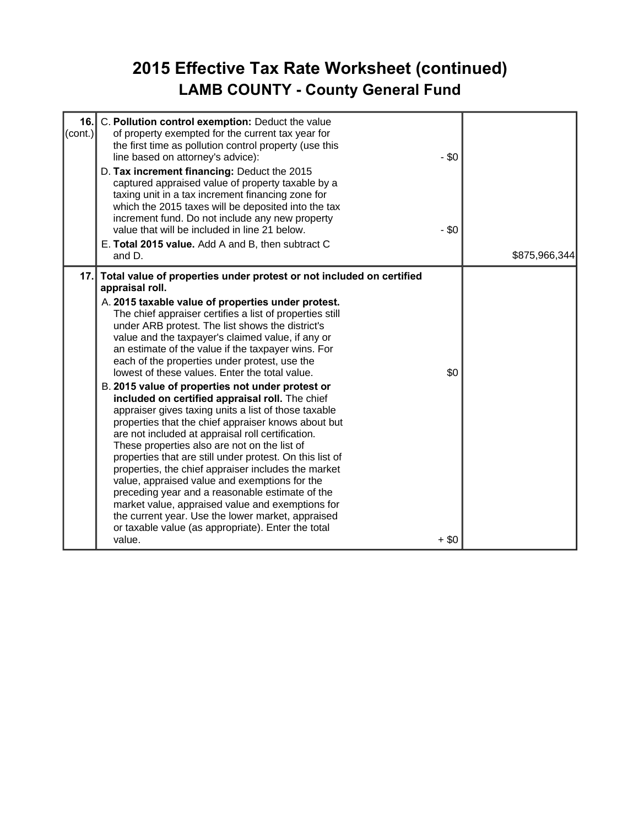## **2015 Effective Tax Rate Worksheet (continued) LAMB COUNTY - County General Fund**

| 16.<br>C. Pollution control exemption: Deduct the value<br>$\text{(cont.)}$<br>of property exempted for the current tax year for<br>the first time as pollution control property (use this<br>line based on attorney's advice):<br>D. Tax increment financing: Deduct the 2015<br>captured appraised value of property taxable by a<br>taxing unit in a tax increment financing zone for<br>which the 2015 taxes will be deposited into the tax<br>increment fund. Do not include any new property<br>value that will be included in line 21 below.<br>E. Total 2015 value. Add A and B, then subtract C<br>and D.                                                                                                                                                                                                                                                                                                                                                                                                                                                                                                                                                                                             | $-$ \$0<br>$-$ \$0 | \$875,966,344 |
|----------------------------------------------------------------------------------------------------------------------------------------------------------------------------------------------------------------------------------------------------------------------------------------------------------------------------------------------------------------------------------------------------------------------------------------------------------------------------------------------------------------------------------------------------------------------------------------------------------------------------------------------------------------------------------------------------------------------------------------------------------------------------------------------------------------------------------------------------------------------------------------------------------------------------------------------------------------------------------------------------------------------------------------------------------------------------------------------------------------------------------------------------------------------------------------------------------------|--------------------|---------------|
| Total value of properties under protest or not included on certified<br>17.1<br>appraisal roll.<br>A. 2015 taxable value of properties under protest.<br>The chief appraiser certifies a list of properties still<br>under ARB protest. The list shows the district's<br>value and the taxpayer's claimed value, if any or<br>an estimate of the value if the taxpayer wins. For<br>each of the properties under protest, use the<br>lowest of these values. Enter the total value.<br>B. 2015 value of properties not under protest or<br>included on certified appraisal roll. The chief<br>appraiser gives taxing units a list of those taxable<br>properties that the chief appraiser knows about but<br>are not included at appraisal roll certification.<br>These properties also are not on the list of<br>properties that are still under protest. On this list of<br>properties, the chief appraiser includes the market<br>value, appraised value and exemptions for the<br>preceding year and a reasonable estimate of the<br>market value, appraised value and exemptions for<br>the current year. Use the lower market, appraised<br>or taxable value (as appropriate). Enter the total<br>value. | \$0<br>$+$ \$0     |               |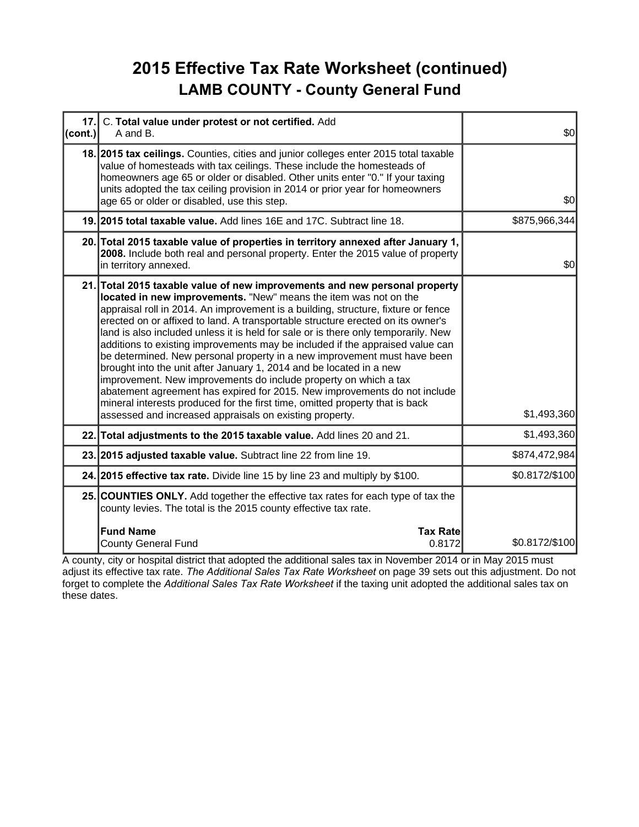## **2015 Effective Tax Rate Worksheet (continued) LAMB COUNTY - County General Fund**

| 17.1<br>(cont.) | C. Total value under protest or not certified. Add<br>A and B.                                                                                                                                                                                                                                                                                                                                                                                                                                                                                                                                                                                                                                                                                                                                                                                                                                                                               | \$0            |
|-----------------|----------------------------------------------------------------------------------------------------------------------------------------------------------------------------------------------------------------------------------------------------------------------------------------------------------------------------------------------------------------------------------------------------------------------------------------------------------------------------------------------------------------------------------------------------------------------------------------------------------------------------------------------------------------------------------------------------------------------------------------------------------------------------------------------------------------------------------------------------------------------------------------------------------------------------------------------|----------------|
|                 | 18. 2015 tax ceilings. Counties, cities and junior colleges enter 2015 total taxable<br>value of homesteads with tax ceilings. These include the homesteads of<br>homeowners age 65 or older or disabled. Other units enter "0." If your taxing<br>units adopted the tax ceiling provision in 2014 or prior year for homeowners<br>age 65 or older or disabled, use this step.                                                                                                                                                                                                                                                                                                                                                                                                                                                                                                                                                               | \$0            |
|                 | 19. 2015 total taxable value. Add lines 16E and 17C. Subtract line 18.                                                                                                                                                                                                                                                                                                                                                                                                                                                                                                                                                                                                                                                                                                                                                                                                                                                                       | \$875,966,344  |
|                 | 20. Total 2015 taxable value of properties in territory annexed after January 1,<br>2008. Include both real and personal property. Enter the 2015 value of property<br>in territory annexed.                                                                                                                                                                                                                                                                                                                                                                                                                                                                                                                                                                                                                                                                                                                                                 | \$0            |
|                 | 21. Total 2015 taxable value of new improvements and new personal property<br>located in new improvements. "New" means the item was not on the<br>appraisal roll in 2014. An improvement is a building, structure, fixture or fence<br>erected on or affixed to land. A transportable structure erected on its owner's<br>land is also included unless it is held for sale or is there only temporarily. New<br>additions to existing improvements may be included if the appraised value can<br>be determined. New personal property in a new improvement must have been<br>brought into the unit after January 1, 2014 and be located in a new<br>improvement. New improvements do include property on which a tax<br>abatement agreement has expired for 2015. New improvements do not include<br>mineral interests produced for the first time, omitted property that is back<br>assessed and increased appraisals on existing property. | \$1,493,360    |
|                 | 22. Total adjustments to the 2015 taxable value. Add lines 20 and 21.                                                                                                                                                                                                                                                                                                                                                                                                                                                                                                                                                                                                                                                                                                                                                                                                                                                                        | \$1,493,360    |
|                 | 23. 2015 adjusted taxable value. Subtract line 22 from line 19.                                                                                                                                                                                                                                                                                                                                                                                                                                                                                                                                                                                                                                                                                                                                                                                                                                                                              | \$874,472,984  |
|                 | 24. 2015 effective tax rate. Divide line 15 by line 23 and multiply by \$100.                                                                                                                                                                                                                                                                                                                                                                                                                                                                                                                                                                                                                                                                                                                                                                                                                                                                | \$0.8172/\$100 |
|                 | 25. COUNTIES ONLY. Add together the effective tax rates for each type of tax the<br>county levies. The total is the 2015 county effective tax rate.                                                                                                                                                                                                                                                                                                                                                                                                                                                                                                                                                                                                                                                                                                                                                                                          |                |
|                 | <b>Fund Name</b><br><b>Tax Rate</b><br><b>County General Fund</b><br>0.8172                                                                                                                                                                                                                                                                                                                                                                                                                                                                                                                                                                                                                                                                                                                                                                                                                                                                  | \$0.8172/\$100 |

A county, city or hospital district that adopted the additional sales tax in November 2014 or in May 2015 must adjust its effective tax rate. *The Additional Sales Tax Rate Worksheet* on page 39 sets out this adjustment. Do not forget to complete the *Additional Sales Tax Rate Worksheet* if the taxing unit adopted the additional sales tax on these dates.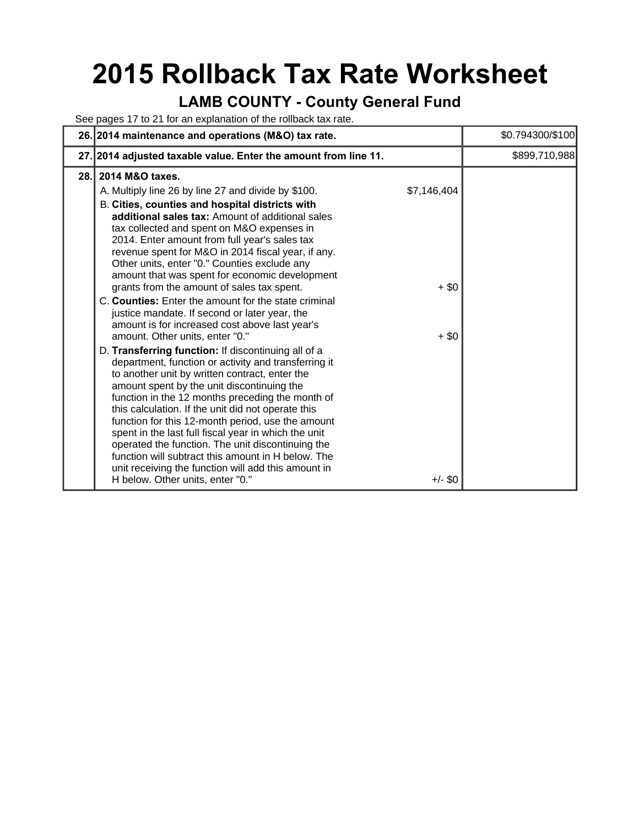## **2015 Rollback Tax Rate Worksheet**

#### **LAMB COUNTY - County General Fund**

See pages 17 to 21 for an explanation of the rollback tax rate.

|      | 26. 2014 maintenance and operations (M&O) tax rate.                                                                                                                                                                                                                                                                                                                                                                                                                                                                                                                                                                                                           |                                   | \$0.794300/\$100 |
|------|---------------------------------------------------------------------------------------------------------------------------------------------------------------------------------------------------------------------------------------------------------------------------------------------------------------------------------------------------------------------------------------------------------------------------------------------------------------------------------------------------------------------------------------------------------------------------------------------------------------------------------------------------------------|-----------------------------------|------------------|
|      | 27. 2014 adjusted taxable value. Enter the amount from line 11.                                                                                                                                                                                                                                                                                                                                                                                                                                                                                                                                                                                               |                                   | \$899,710,988    |
| 28.1 | 2014 M&O taxes.                                                                                                                                                                                                                                                                                                                                                                                                                                                                                                                                                                                                                                               |                                   |                  |
|      | A. Multiply line 26 by line 27 and divide by \$100.<br>B. Cities, counties and hospital districts with<br>additional sales tax: Amount of additional sales<br>tax collected and spent on M&O expenses in<br>2014. Enter amount from full year's sales tax<br>revenue spent for M&O in 2014 fiscal year, if any.<br>Other units, enter "0." Counties exclude any<br>amount that was spent for economic development<br>grants from the amount of sales tax spent.<br>C. Counties: Enter the amount for the state criminal<br>justice mandate. If second or later year, the<br>amount is for increased cost above last year's<br>amount. Other units, enter "0." | \$7,146,404<br>$+$ \$0<br>$+$ \$0 |                  |
|      | D. Transferring function: If discontinuing all of a<br>department, function or activity and transferring it<br>to another unit by written contract, enter the<br>amount spent by the unit discontinuing the<br>function in the 12 months preceding the month of<br>this calculation. If the unit did not operate this<br>function for this 12-month period, use the amount<br>spent in the last full fiscal year in which the unit<br>operated the function. The unit discontinuing the<br>function will subtract this amount in H below. The<br>unit receiving the function will add this amount in<br>H below. Other units, enter "0."                      | $+/-$ \$0                         |                  |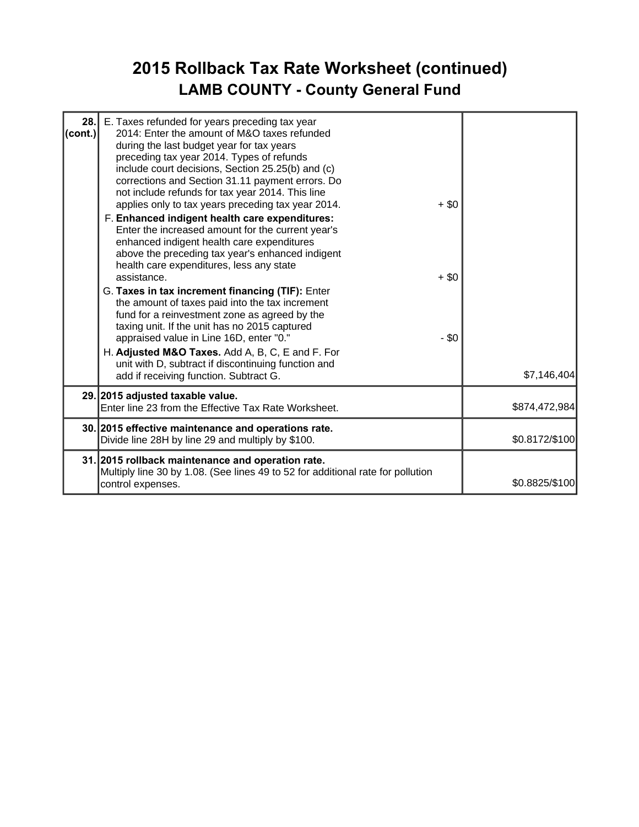## **2015 Rollback Tax Rate Worksheet (continued) LAMB COUNTY - County General Fund**

| 28.<br>$\left($ cont.) | E. Taxes refunded for years preceding tax year<br>2014: Enter the amount of M&O taxes refunded<br>during the last budget year for tax years<br>preceding tax year 2014. Types of refunds<br>include court decisions, Section 25.25(b) and (c)<br>corrections and Section 31.11 payment errors. Do<br>not include refunds for tax year 2014. This line<br>applies only to tax years preceding tax year 2014.<br>F. Enhanced indigent health care expenditures:<br>Enter the increased amount for the current year's<br>enhanced indigent health care expenditures<br>above the preceding tax year's enhanced indigent<br>health care expenditures, less any state<br>assistance.<br>G. Taxes in tax increment financing (TIF): Enter<br>the amount of taxes paid into the tax increment<br>fund for a reinvestment zone as agreed by the<br>taxing unit. If the unit has no 2015 captured<br>appraised value in Line 16D, enter "0."<br>H. Adjusted M&O Taxes. Add A, B, C, E and F. For<br>unit with D, subtract if discontinuing function and<br>add if receiving function. Subtract G. | $+$ \$0<br>$+$ \$0<br>$-$ \$0 | \$7,146,404    |
|------------------------|------------------------------------------------------------------------------------------------------------------------------------------------------------------------------------------------------------------------------------------------------------------------------------------------------------------------------------------------------------------------------------------------------------------------------------------------------------------------------------------------------------------------------------------------------------------------------------------------------------------------------------------------------------------------------------------------------------------------------------------------------------------------------------------------------------------------------------------------------------------------------------------------------------------------------------------------------------------------------------------------------------------------------------------------------------------------------------------|-------------------------------|----------------|
|                        | 29. 2015 adjusted taxable value.<br>Enter line 23 from the Effective Tax Rate Worksheet.                                                                                                                                                                                                                                                                                                                                                                                                                                                                                                                                                                                                                                                                                                                                                                                                                                                                                                                                                                                                 |                               | \$874,472,984  |
|                        | 30. 2015 effective maintenance and operations rate.<br>Divide line 28H by line 29 and multiply by \$100.                                                                                                                                                                                                                                                                                                                                                                                                                                                                                                                                                                                                                                                                                                                                                                                                                                                                                                                                                                                 |                               | \$0.8172/\$100 |
|                        | 31. 2015 rollback maintenance and operation rate.<br>Multiply line 30 by 1.08. (See lines 49 to 52 for additional rate for pollution<br>control expenses.                                                                                                                                                                                                                                                                                                                                                                                                                                                                                                                                                                                                                                                                                                                                                                                                                                                                                                                                |                               | \$0.8825/\$100 |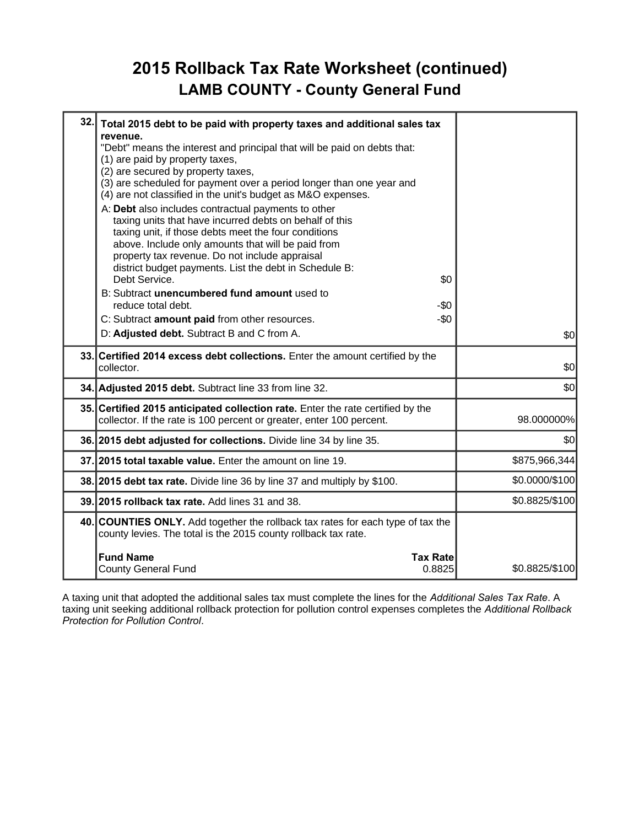#### **2015 Rollback Tax Rate Worksheet (continued) LAMB COUNTY - County General Fund**

| 32. | Total 2015 debt to be paid with property taxes and additional sales tax<br>revenue.                                                                                                                                                                                                                                                                                                                                                                                                                                                                                                                                                                           |                |
|-----|---------------------------------------------------------------------------------------------------------------------------------------------------------------------------------------------------------------------------------------------------------------------------------------------------------------------------------------------------------------------------------------------------------------------------------------------------------------------------------------------------------------------------------------------------------------------------------------------------------------------------------------------------------------|----------------|
|     | "Debt" means the interest and principal that will be paid on debts that:<br>(1) are paid by property taxes,<br>(2) are secured by property taxes,<br>(3) are scheduled for payment over a period longer than one year and<br>(4) are not classified in the unit's budget as M&O expenses.<br>A: Debt also includes contractual payments to other<br>taxing units that have incurred debts on behalf of this<br>taxing unit, if those debts meet the four conditions<br>above. Include only amounts that will be paid from<br>property tax revenue. Do not include appraisal<br>district budget payments. List the debt in Schedule B:<br>Debt Service.<br>\$0 |                |
|     | B: Subtract unencumbered fund amount used to<br>reduce total debt.<br>-\$0<br>$-\$0$<br>C: Subtract amount paid from other resources.<br>D: Adjusted debt. Subtract B and C from A.                                                                                                                                                                                                                                                                                                                                                                                                                                                                           | \$0            |
|     | 33. Certified 2014 excess debt collections. Enter the amount certified by the<br>collector.                                                                                                                                                                                                                                                                                                                                                                                                                                                                                                                                                                   | \$0            |
|     | 34. Adjusted 2015 debt. Subtract line 33 from line 32.                                                                                                                                                                                                                                                                                                                                                                                                                                                                                                                                                                                                        | \$0            |
|     | 35. Certified 2015 anticipated collection rate. Enter the rate certified by the<br>collector. If the rate is 100 percent or greater, enter 100 percent.                                                                                                                                                                                                                                                                                                                                                                                                                                                                                                       | 98.000000%     |
|     | 36. 2015 debt adjusted for collections. Divide line 34 by line 35.                                                                                                                                                                                                                                                                                                                                                                                                                                                                                                                                                                                            | \$0            |
|     | 37. 2015 total taxable value. Enter the amount on line 19.                                                                                                                                                                                                                                                                                                                                                                                                                                                                                                                                                                                                    | \$875,966,344  |
|     | 38. 2015 debt tax rate. Divide line 36 by line 37 and multiply by \$100.                                                                                                                                                                                                                                                                                                                                                                                                                                                                                                                                                                                      | \$0.0000/\$100 |
|     | 39. 2015 rollback tax rate. Add lines 31 and 38.                                                                                                                                                                                                                                                                                                                                                                                                                                                                                                                                                                                                              | \$0.8825/\$100 |
|     | 40. COUNTIES ONLY. Add together the rollback tax rates for each type of tax the<br>county levies. The total is the 2015 county rollback tax rate.                                                                                                                                                                                                                                                                                                                                                                                                                                                                                                             |                |
|     | <b>Fund Name</b><br><b>Tax Rate</b><br>0.8825<br><b>County General Fund</b>                                                                                                                                                                                                                                                                                                                                                                                                                                                                                                                                                                                   | \$0.8825/\$100 |

A taxing unit that adopted the additional sales tax must complete the lines for the *Additional Sales Tax Rate*. A taxing unit seeking additional rollback protection for pollution control expenses completes the *Additional Rollback Protection for Pollution Control*.